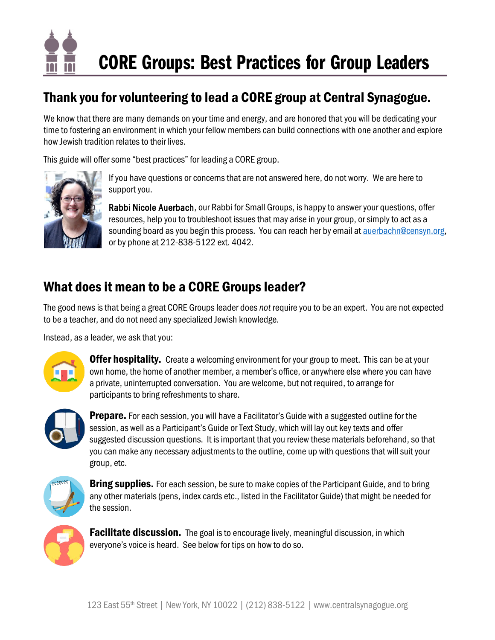

# Thank you for volunteering to lead a CORE group at Central Synagogue.

We know that there are many demands on your time and energy, and are honored that you will be dedicating your time to fostering an environment in which your fellow members can build connections with one another and explore how Jewish tradition relates to their lives.

This guide will offer some "best practices" for leading a CORE group.



If you have questions or concerns that are not answered here, do not worry. We are here to support you.

Rabbi Nicole Auerbach, our Rabbi for Small Groups, is happy to answer your questions, offer resources, help you to troubleshoot issues that may arise in your group, or simply to act as a sounding board as you begin this process. You can reach her by email at **auerbachn@censyn.org**, or by phone at 212-838-5122 ext. 4042.

# What does it mean to be a CORE Groups leader?

The good news is that being a great CORE Groups leader does *not* require you to be an expert. You are not expected to be a teacher, and do not need any specialized Jewish knowledge.

Instead, as a leader, we ask that you:



**Offer hospitality.** Create a welcoming environment for your group to meet. This can be at your own home, the home of another member, a member's office, or anywhere else where you can have a private, uninterrupted conversation. You are welcome, but not required, to arrange for participants to bring refreshments to share.



**Prepare.** For each session, you will have a Facilitator's Guide with a suggested outline for the session, as well as a Participant's Guide or Text Study, which will lay out key texts and offer suggested discussion questions. It is important that you review these materials beforehand, so that you can make any necessary adjustments to the outline, come up with questions that will suit your group, etc.



**Bring supplies.** For each session, be sure to make copies of the Participant Guide, and to bring any other materials (pens, index cards etc., listed in the Facilitator Guide) that might be needed for the session.



**Facilitate discussion.** The goal is to encourage lively, meaningful discussion, in which everyone's voice is heard. See below for tips on how to do so.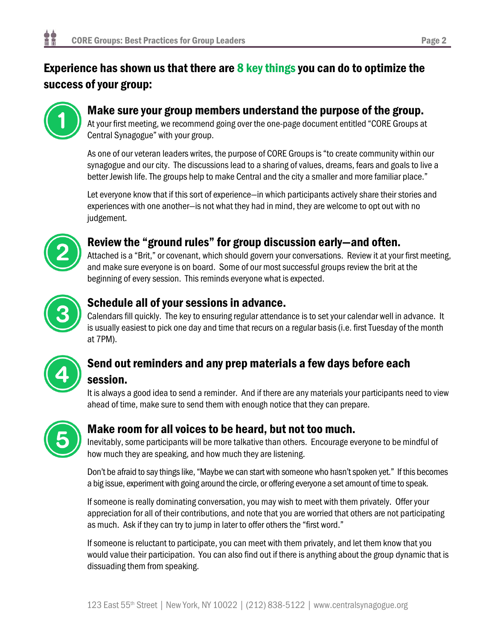# Experience has shown us that there are 8 key things you can do to optimize the success of your group:



### Make sure your group members understand the purpose of the group.

At your first meeting, we recommend going over the one-page document entitled "CORE Groups at Central Synagogue" with your group.

As one of our veteran leaders writes, the purpose of CORE Groups is "to create community within our synagogue and our city. The discussions lead to a sharing of values, dreams, fears and goals to live a better Jewish life. The groups help to make Central and the city a smaller and more familiar place."

Let everyone know that if this sort of experience—in which participants actively share their stories and experiences with one another—is not what they had in mind, they are welcome to opt out with no judgement.



## Review the "ground rules" for group discussion early—and often.

Attached is a "Brit," or covenant, which should govern your conversations. Review it at your first meeting, and make sure everyone is on board. Some of our most successful groups review the brit at the beginning of every session. This reminds everyone what is expected.



### Schedule all of your sessions in advance.

Calendars fill quickly. The key to ensuring regular attendance is to set your calendar well in advance. It is usually easiest to pick one day and time that recurs on a regular basis (i.e. first Tuesday of the month at 7PM).



# Send out reminders and any prep materials a few days before each session.

It is always a good idea to send a reminder. And if there are any materials your participants need to view ahead of time, make sure to send them with enough notice that they can prepare.



## Make room for all voices to be heard, but not too much.

Inevitably, some participants will be more talkative than others. Encourage everyone to be mindful of how much they are speaking, and how much they are listening.

Don't be afraid to say things like,"Maybe we can start with someone who hasn't spoken yet." If this becomes a big issue, experiment with going around the circle, or offering everyone a set amount of time to speak.

If someone is really dominating conversation, you may wish to meet with them privately. Offer your appreciation for all of their contributions, and note that you are worried that others are not participating as much. Ask if they can try to jump in later to offer others the "first word."

If someone is reluctant to participate, you can meet with them privately, and let them know that you would value their participation. You can also find out if there is anything about the group dynamic that is dissuading them from speaking.